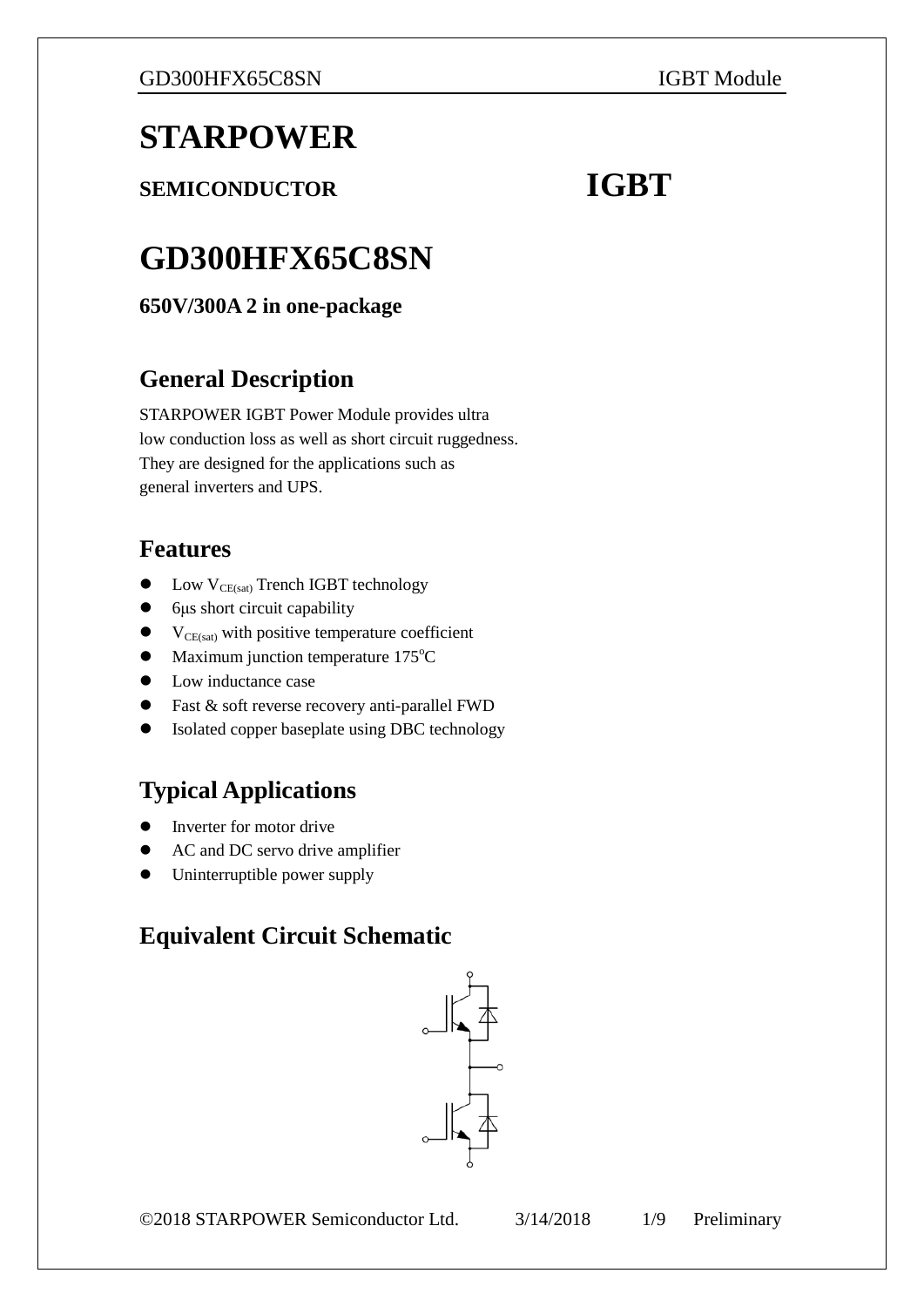# **STARPOWER**

**SEMICONDUCTOR IGBT** 

# **GD300HFX65C8SN**

**650V/300A 2 in one-package**

# **General Description**

STARPOWER IGBT Power Module provides ultra low conduction loss as well as short circuit ruggedness. They are designed for the applications such as general inverters and UPS.

# **Features**

- $\bullet$  Low V<sub>CE(sat)</sub> Trench IGBT technology
- 6μs short circuit capability
- $\bullet$  V<sub>CE(sat)</sub> with positive temperature coefficient
- Maximum junction temperature 175°C
- Low inductance case
- Fast & soft reverse recovery anti-parallel FWD
- Isolated copper baseplate using DBC technology

# **Typical Applications**

- Inverter for motor drive
- AC and DC servo drive amplifier
- Uninterruptible power supply

# **Equivalent Circuit Schematic**

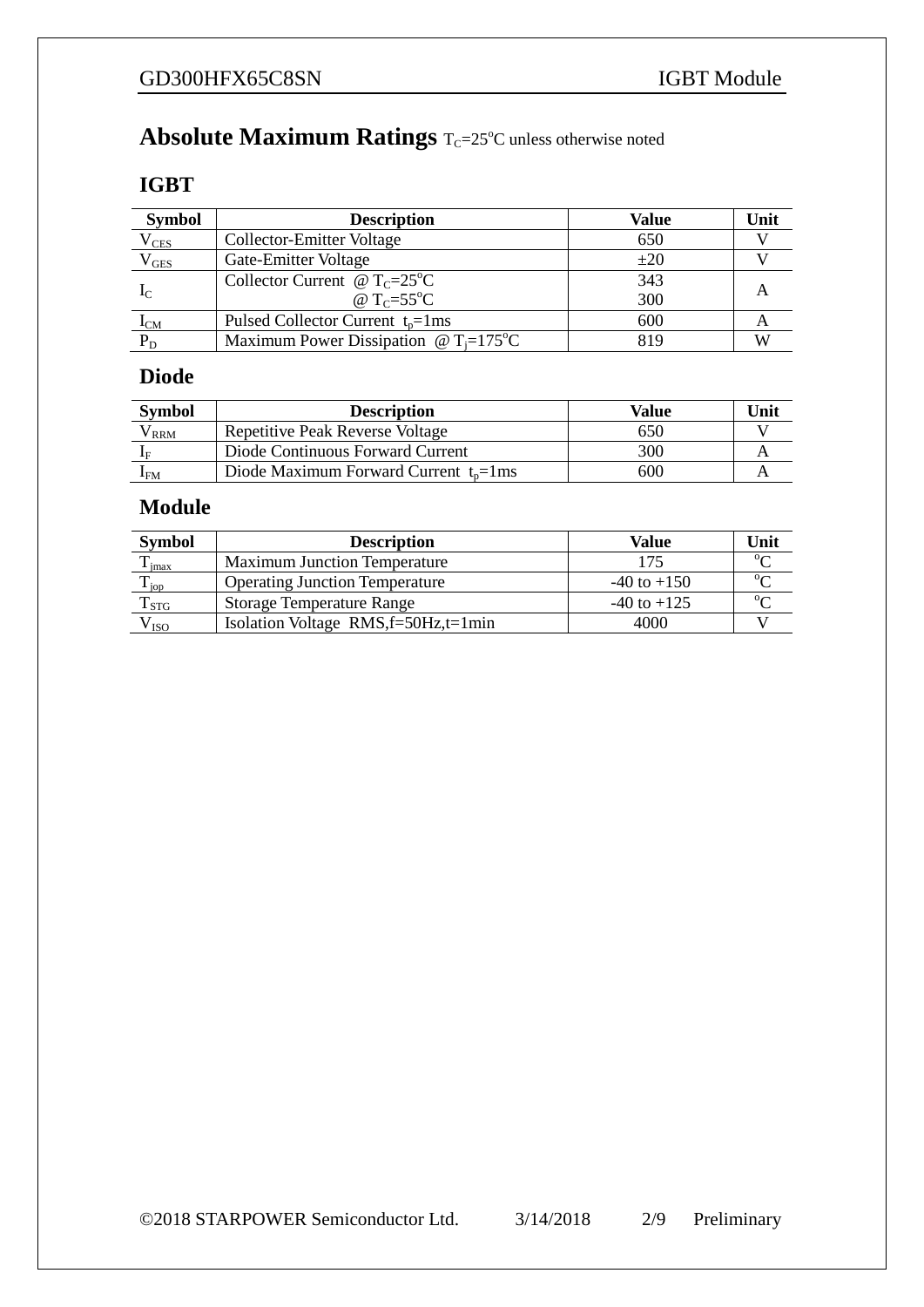#### **Absolute Maximum Ratings** T<sub>C</sub>=25°C unless otherwise noted

### **IGBT**

| <b>Symbol</b>   | <b>Description</b><br>Value                                         |          | Unit |
|-----------------|---------------------------------------------------------------------|----------|------|
| $\rm V_{CES}$   | 650<br>Collector-Emitter Voltage                                    |          |      |
| $\rm V_{GES}^-$ | Gate-Emitter Voltage                                                | $\pm 20$ |      |
|                 | Collector Current @ $T_c = 25^{\circ}C$                             | 343      |      |
| $I_{\rm C}$     | @ $T_c = 55^{\circ}C$                                               | 300      |      |
| $I_{CM}$        | Pulsed Collector Current $t_n = 1$ ms                               | 600      |      |
| $P_D$           | Maximum Power Dissipation $\omega_{\text{T}} = 175^{\circ}\text{C}$ | 819      | W    |

### **Diode**

| <b>Symbol</b> | <b>Description</b>                         | Value | Unit |
|---------------|--------------------------------------------|-------|------|
| $'$ RRM       | Repetitive Peak Reverse Voltage            | 650   |      |
|               | Diode Continuous Forward Current           | 300   |      |
| ⊥FM           | Diode Maximum Forward Current $t_n = 1$ ms | 600   |      |

### **Module**

| <b>Symbol</b>      | <b>Description</b>                    | Value           | Unit     |
|--------------------|---------------------------------------|-----------------|----------|
| imax               | <b>Maximum Junction Temperature</b>   | 175             | $\Omega$ |
| $\mathbf{I}_{jop}$ | <b>Operating Junction Temperature</b> | $-40$ to $+150$ |          |
| $T_{STG}$          | <b>Storage Temperature Range</b>      | $-40$ to $+125$ |          |
| $\rm V_{ISO}$      | Isolation Voltage $RMS,f=50Hz,t=1min$ | 4000            |          |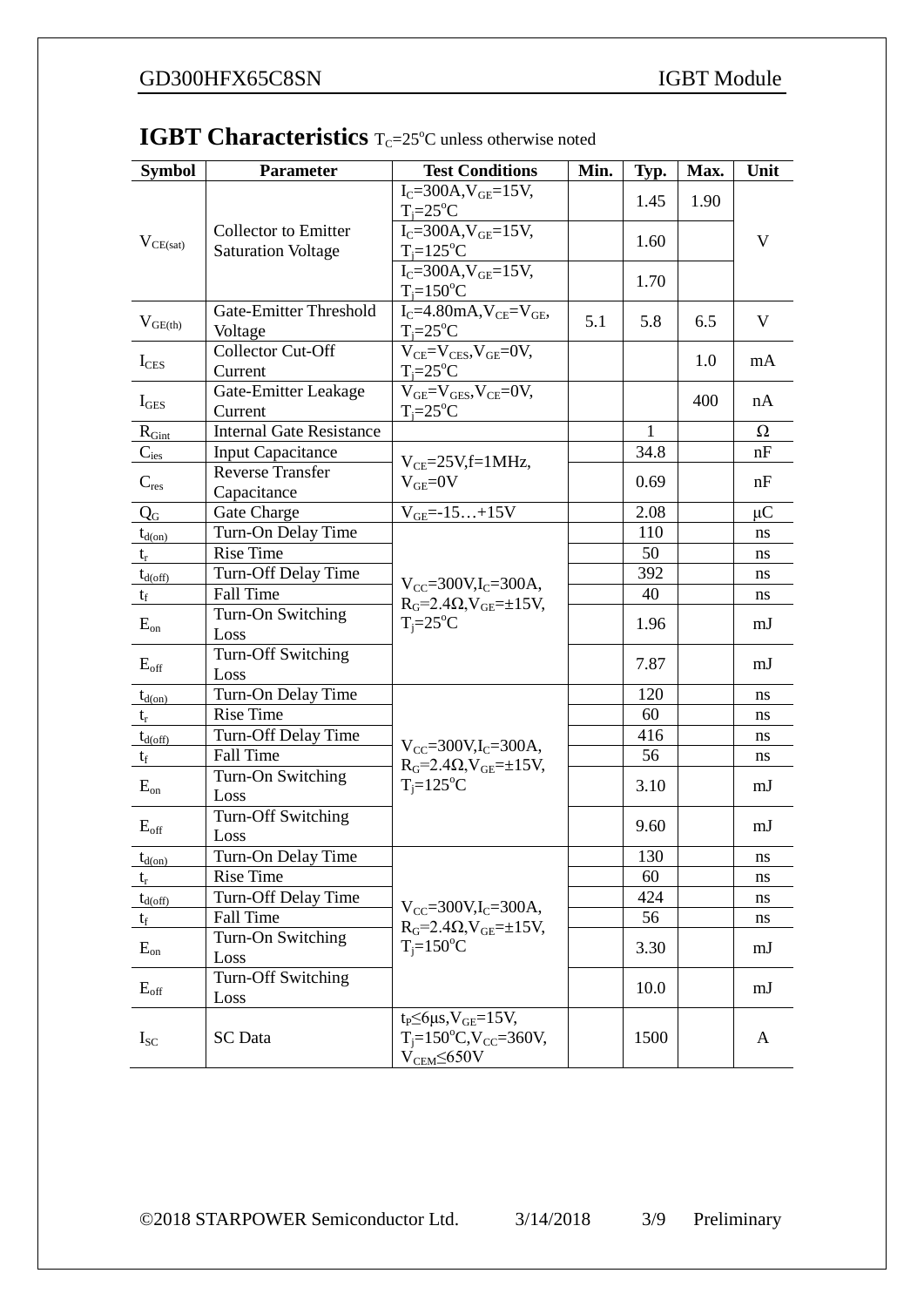| <b>Symbol</b>       | <b>Parameter</b>                | <b>Test Conditions</b>                                             | Min. | Typ.         | Max. | Unit     |
|---------------------|---------------------------------|--------------------------------------------------------------------|------|--------------|------|----------|
| $V_{CE(sat)}$       | <b>Collector</b> to Emitter     | $I_C = 300A, V_{GE} = 15V,$                                        |      | 1.45         | 1.90 | V        |
|                     |                                 | $T_i = 25$ °C                                                      |      |              |      |          |
|                     |                                 | $I_C = 300A$ , $V_{GE} = 15V$ ,                                    |      | 1.60         |      |          |
|                     | <b>Saturation Voltage</b>       | $T_i = 125$ °C                                                     |      |              |      |          |
|                     |                                 | $I_C = 300A$ , $V_{GE} = 15V$ ,                                    |      | 1.70         |      |          |
|                     | <b>Gate-Emitter Threshold</b>   | $T_i = 150$ <sup>o</sup> C<br>$I_C = 4.80$ mA, $V_{CE} = V_{GE}$ , |      |              |      |          |
| $V_{\text{GE(th)}}$ | Voltage                         | $T_i = 25$ °C                                                      | 5.1  | 5.8          | 6.5  | V        |
|                     | Collector Cut-Off               | $V_{CE} = V_{CES}$ , $V_{GE} = 0V$ ,                               |      |              | 1.0  | mA       |
| $I_{CES}$           | Current                         | $T_i = 25$ °C                                                      |      |              |      |          |
| $I_{\text{GES}}$    | Gate-Emitter Leakage            | $V_{GE}=V_{GES}$ , $V_{CE}=0V$ ,                                   |      |              | 400  | nA       |
|                     | Current                         | $T_i = 25$ °C                                                      |      |              |      |          |
| $R_{Gint}$          | <b>Internal Gate Resistance</b> |                                                                    |      | $\mathbf{1}$ |      | $\Omega$ |
| $C_{\text{ies}}$    | <b>Input Capacitance</b>        | $V_{CE}$ =25V,f=1MHz,                                              |      | 34.8         |      | nF       |
| $C_{res}$           | Reverse Transfer<br>Capacitance | $V_{GE}=0V$                                                        |      | 0.69         |      | nF       |
| $Q_{G}$             | Gate Charge                     | $V_{GE} = -15+15V$                                                 |      | 2.08         |      | $\mu$ C  |
| $t_{d(0n)}$         | Turn-On Delay Time              |                                                                    |      | 110          |      | ns       |
| $t_{r}$             | <b>Rise Time</b>                |                                                                    |      | 50           |      | ns       |
| $t_{d(\text{off})}$ | Turn-Off Delay Time             |                                                                    |      | 392          |      | ns       |
| $t_f$               | Fall Time                       | $V_{CC} = 300V$ , I <sub>C</sub> $= 300A$ ,                        |      | 40           |      | ns       |
|                     | Turn-On Switching               | $RG=2.4\Omega$ , $VGE=\pm 15V$ ,                                   |      |              |      |          |
| $E_{on}$            | Loss                            | $T_i = 25$ °C                                                      |      | 1.96         |      | mJ       |
| $E_{\rm off}$       | Turn-Off Switching              |                                                                    |      | 7.87         |      | mJ       |
|                     | Loss                            |                                                                    |      |              |      |          |
| $t_{d(0n)}$         | Turn-On Delay Time              |                                                                    |      | 120          |      | ns       |
| $t_{r}$             | <b>Rise Time</b>                |                                                                    |      | 60           |      | ns       |
| $t_{d(\text{off})}$ | Turn-Off Delay Time             | $V_{CC} = 300V$ , I <sub>C</sub> $= 300A$ ,                        |      | 416          |      | ns       |
| $t_f$               | Fall Time                       | $RG=2.4\Omega$ , $VGE=\pm 15V$ ,                                   |      | 56           |      | ns       |
| $E_{on}$            | Turn-On Switching               | $T_i = 125$ °C                                                     |      | 3.10         |      | mJ       |
|                     | Loss<br>Turn-Off Switching      |                                                                    |      |              |      |          |
| $E_{\rm off}$       | Loss                            |                                                                    |      | 9.60         |      | mJ       |
| $t_{d(0n)}$         | Turn-On Delay Time              |                                                                    |      | 130          |      | ns       |
| $t_{r}$             | <b>Rise Time</b>                |                                                                    |      | 60           |      | ns       |
| $t_{d(\text{off})}$ | Turn-Off Delay Time             |                                                                    |      | 424          |      | ns       |
| $t_f$               | Fall Time                       | $V_{CC} = 300V, I_C = 300A,$                                       |      | 56           |      | ns       |
| $E_{on}$            | Turn-On Switching               | $RG=2.4\Omega$ , $VGE=\pm 15V$ ,<br>$T_i = 150$ <sup>o</sup> C     |      | 3.30         |      | mJ       |
|                     | Loss                            |                                                                    |      |              |      |          |
| $E_{\rm off}$       | Turn-Off Switching<br>Loss      |                                                                    |      | 10.0         |      | mJ       |
|                     |                                 | $t_P \leq 6 \mu s$ , $V_{GE} = 15V$ ,                              |      |              |      |          |
| $I_{SC}$            | <b>SC</b> Data                  | $T_i = 150^{\circ}C$ , $V_{CC} = 360V$ ,                           |      | 1500         |      | A        |
|                     |                                 | $V_{\text{CEM}}$ 50V                                               |      |              |      |          |

#### **IGBT Characteristics** T<sub>C</sub>=25°C unless otherwise noted

©2018 STARPOWER Semiconductor Ltd. 3/14/2018 3/9 Preliminary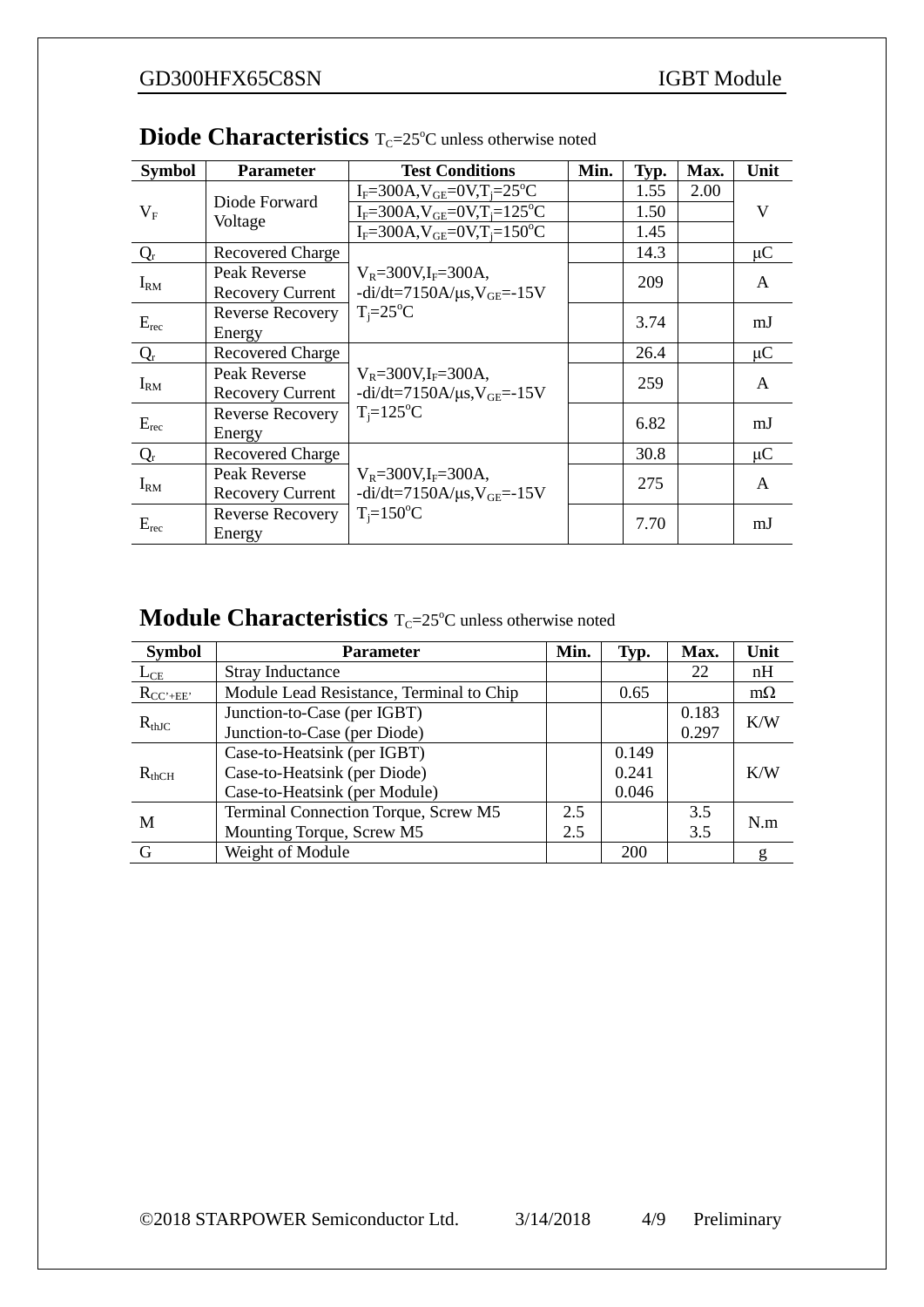| <b>Symbol</b> | <b>Parameter</b>                        | <b>Test Conditions</b>                                                                                          | Min. | Typ. | Max. | Unit    |
|---------------|-----------------------------------------|-----------------------------------------------------------------------------------------------------------------|------|------|------|---------|
| $V_F$         | Diode Forward<br>Voltage                | $I_F = 300A$ , $V_{GE} = 0V$ , $T_i = 25^{\circ}C$                                                              |      | 1.55 | 2.00 | V       |
|               |                                         | $I_F = 300A, V_{GE} = 0V, T_i = 125^{\circ}C$                                                                   |      | 1.50 |      |         |
|               |                                         | $I_F = 300A$ , $V_{GE} = 0V$ , $T_i = 150^{\circ}C$                                                             |      | 1.45 |      |         |
| $Q_r$         | <b>Recovered Charge</b>                 |                                                                                                                 |      | 14.3 |      | $\mu$ C |
| $I_{RM}$      | Peak Reverse<br><b>Recovery Current</b> | $V_R = 300V$ , I <sub>F</sub> $= 300A$ ,<br>$-di/dt = 7150A/\mu s, V_{GE} = -15V$<br>$T_i = 25$ °C              |      | 209  |      | A       |
| $E_{rec}$     | <b>Reverse Recovery</b><br>Energy       |                                                                                                                 |      | 3.74 |      | mJ      |
| $Q_r$         | <b>Recovered Charge</b>                 | $V_R = 300V$ , I <sub>F</sub> $= 300A$ ,<br>$-di/dt = 7150A/\mu s, V_{GE} = -15V$<br>$T_i = 125$ °C             |      | 26.4 |      | $\mu$ C |
| $I_{RM}$      | Peak Reverse<br><b>Recovery Current</b> |                                                                                                                 |      | 259  |      | A       |
| $E_{rec}$     | <b>Reverse Recovery</b><br>Energy       |                                                                                                                 |      | 6.82 |      | mJ      |
| $Q_r$         | <b>Recovered Charge</b>                 | $V_R = 300V$ , I <sub>F</sub> $= 300A$ ,<br>$-di/dt = 7150A/\mu s, V_{GE} = -15V$<br>$T_i = 150$ <sup>o</sup> C |      | 30.8 |      | $\mu$ C |
| $I_{RM}$      | Peak Reverse<br><b>Recovery Current</b> |                                                                                                                 |      | 275  |      | A       |
| $E_{rec}$     | <b>Reverse Recovery</b><br>Energy       |                                                                                                                 |      | 7.70 |      | mJ      |

#### **Diode Characteristics** T<sub>C</sub>=25°C unless otherwise noted

#### **Module Characteristics** T<sub>C</sub>=25°C unless otherwise noted

| <b>Symbol</b> | <b>Parameter</b>                         | Min. | Typ.       | Max.       | Unit      |
|---------------|------------------------------------------|------|------------|------------|-----------|
| $L_{CE}$      | <b>Stray Inductance</b>                  |      |            | 22         | nH        |
| $R_{CC'+EE'}$ | Module Lead Resistance, Terminal to Chip |      | 0.65       |            | $m\Omega$ |
|               | Junction-to-Case (per IGBT)              |      |            | 0.183      | K/W       |
| $R_{thJC}$    | Junction-to-Case (per Diode)             |      |            | 0.297      |           |
| $R_{thCH}$    | Case-to-Heatsink (per IGBT)              |      | 0.149      |            |           |
|               | Case-to-Heatsink (per Diode)             |      | 0.241      |            | K/W       |
|               | Case-to-Heatsink (per Module)            |      | 0.046      |            |           |
| M             | Terminal Connection Torque, Screw M5     | 2.5  |            | 3.5<br>N.m |           |
|               | Mounting Torque, Screw M5                | 2.5  |            | 3.5        |           |
| G             | Weight of Module                         |      | <b>200</b> |            |           |

©2018 STARPOWER Semiconductor Ltd. 3/14/2018 4/9 Preliminary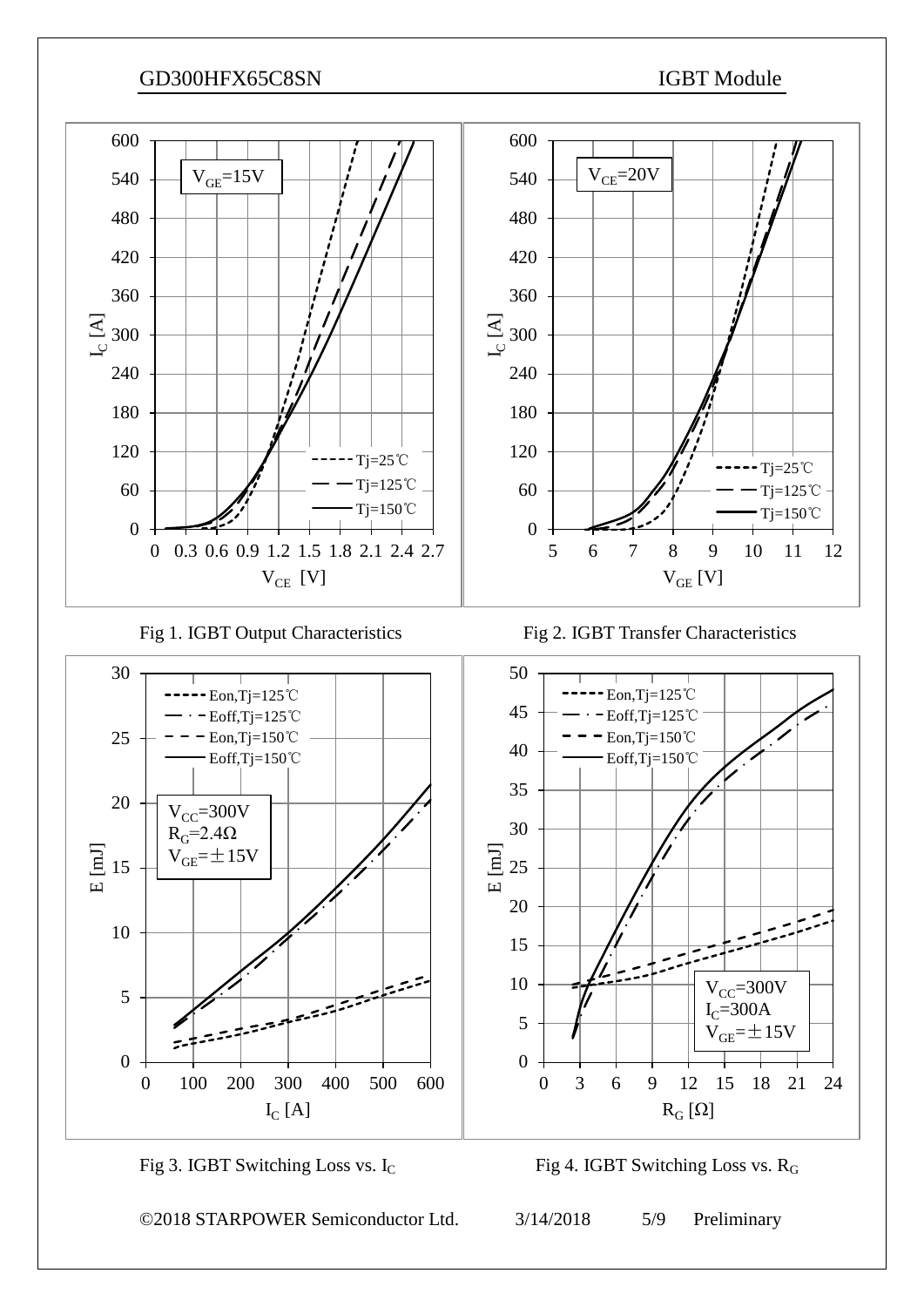

©2018 STARPOWER Semiconductor Ltd. 3/14/2018 5/9 Preliminary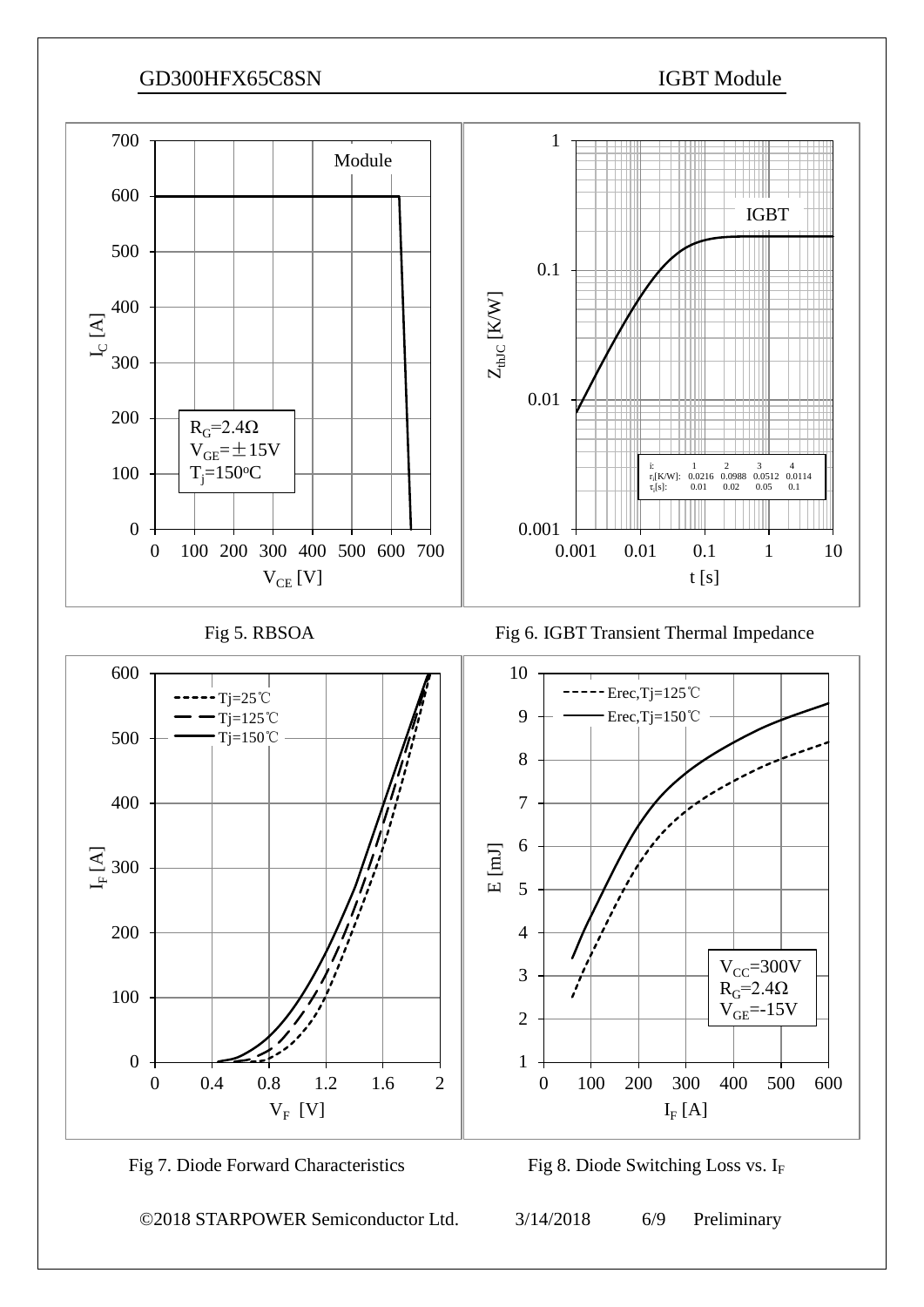



©2018 STARPOWER Semiconductor Ltd. 3/14/2018 6/9 Preliminary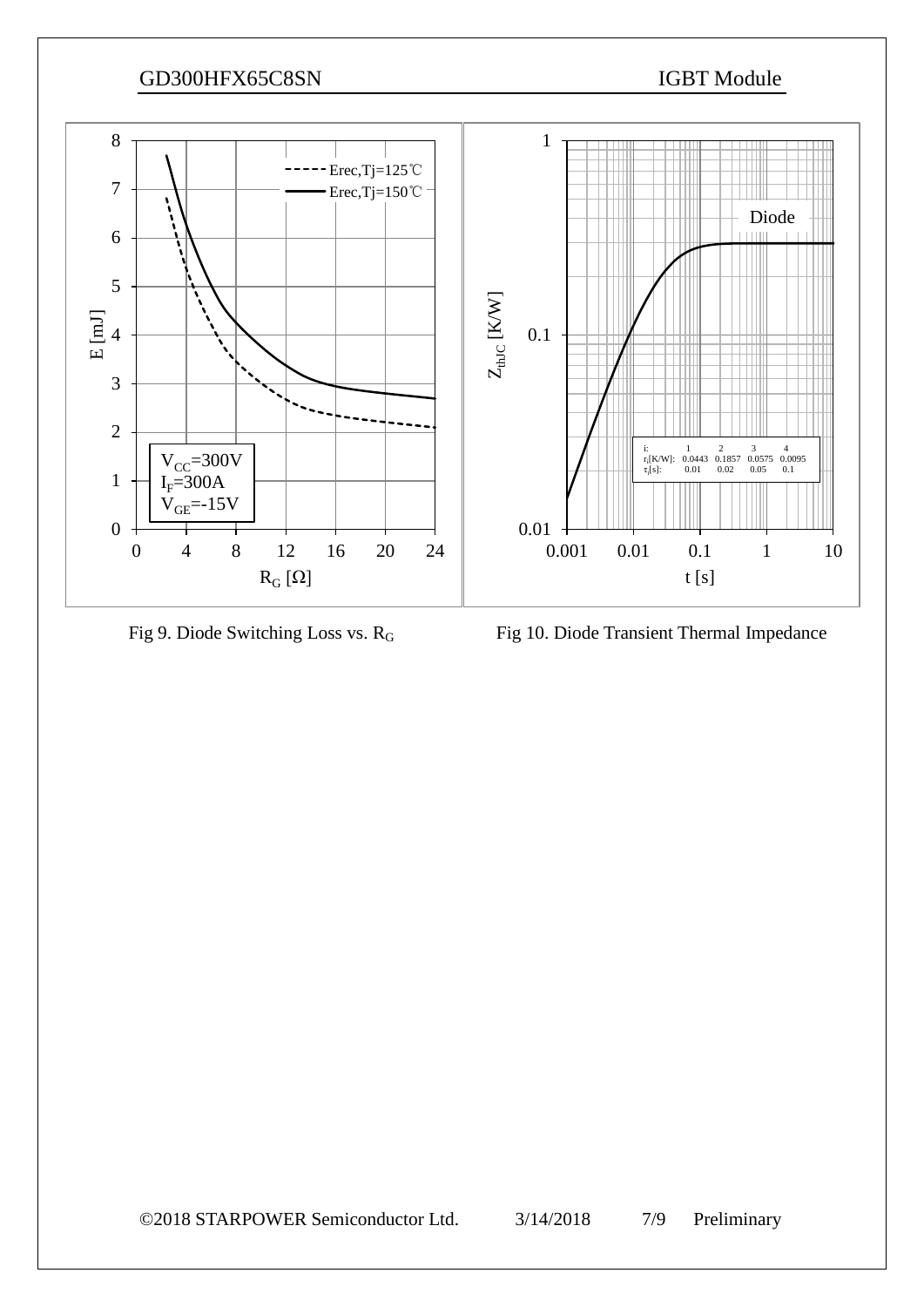

Fig 9. Diode Switching Loss vs. R<sub>G</sub> Fig 10. Diode Transient Thermal Impedance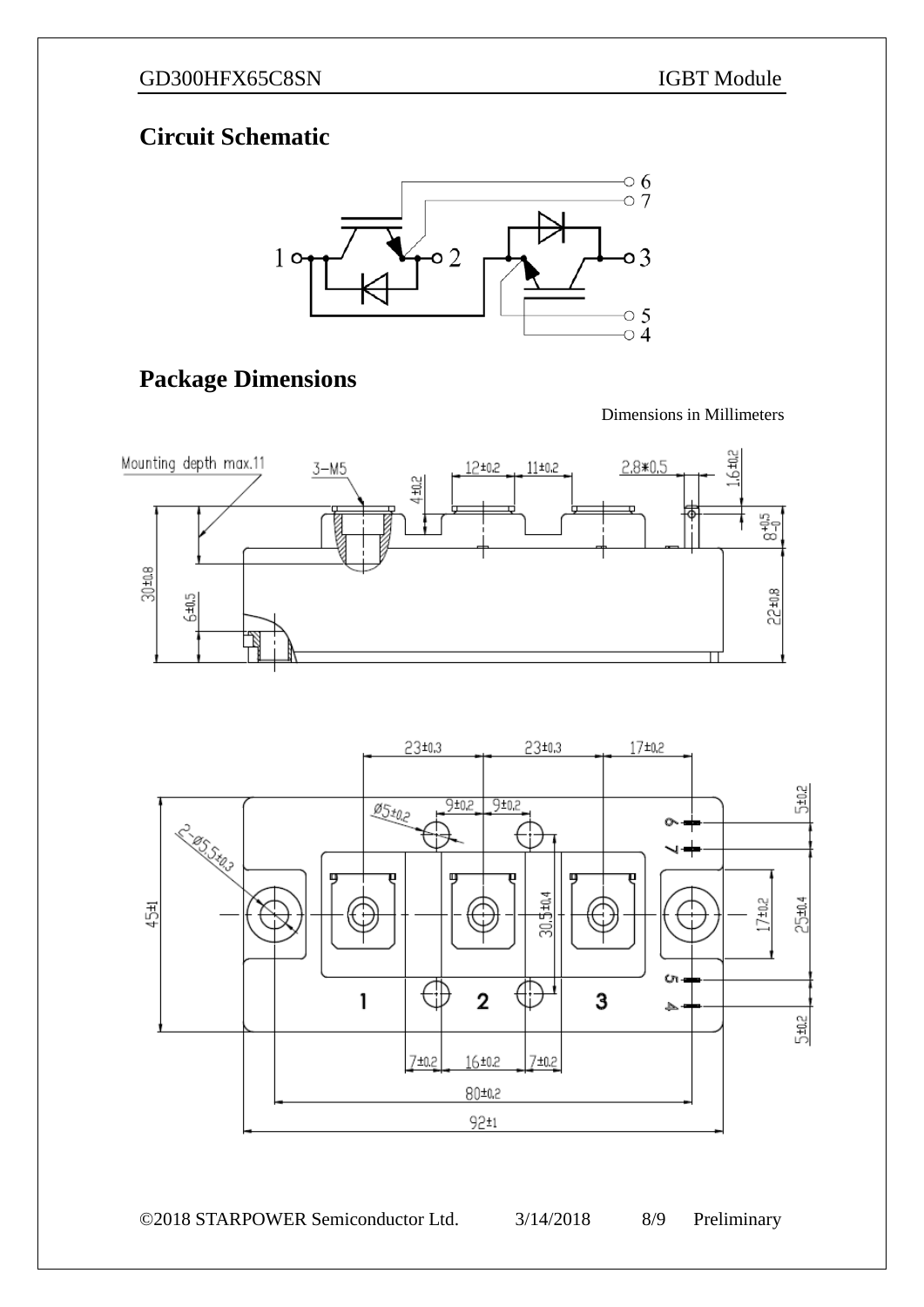## **Circuit Schematic**



# **Package Dimensions**

Dimensions in Millimeters





©2018 STARPOWER Semiconductor Ltd. 3/14/2018 8/9 Preliminary